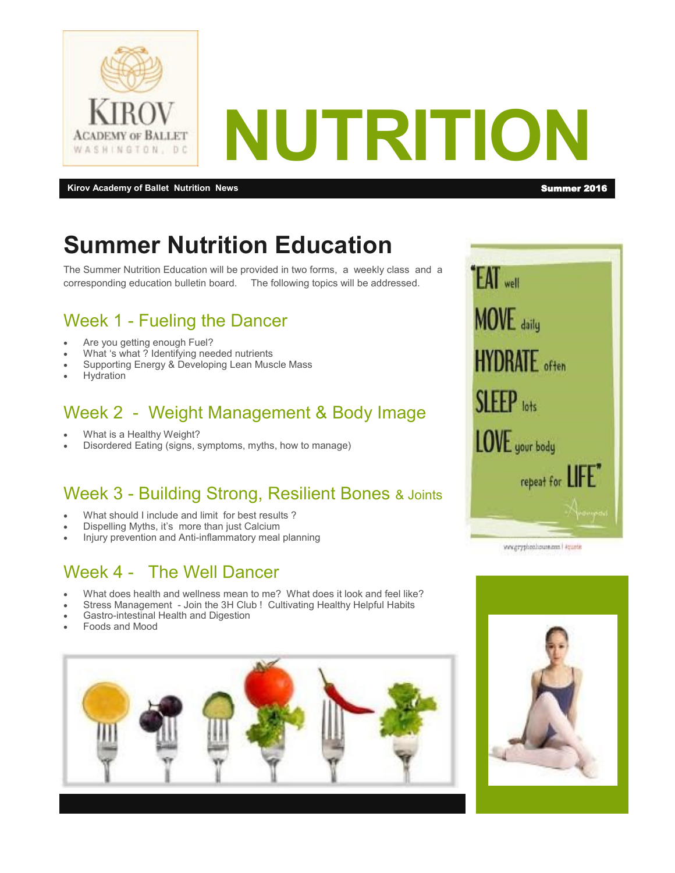

**Kirov Academy of Ballet Nutrition News** Summer 2016 **Summer 2016** 

# **Summer Nutrition Education**

The Summer Nutrition Education will be provided in two forms, a weekly class and a corresponding education bulletin board. The following topics will be addressed.

## Week 1 - Fueling the Dancer

- Are you getting enough Fuel?
- What 's what ? Identifying needed nutrients
- Supporting Energy & Developing Lean Muscle Mass
- **Hydration**

## Week 2 - Weight Management & Body Image

- What is a Healthy Weight?
- Disordered Eating (signs, symptoms, myths, how to manage)

#### Week 3 - Building Strong, Resilient Bones & Joints

- What should I include and limit for best results ?
- Dispelling Myths, it's more than just Calcium
- Injury prevention and Anti-inflammatory meal planning

#### Week 4 - The Well Dancer

- What does health and wellness mean to me? What does it look and feel like?
- Stress Management Join the 3H Club ! Cultivating Healthy Helpful Habits
- Gastro-intestinal Health and Digestion
- Foods and Mood





www.gryphonhouse.com | #quatit

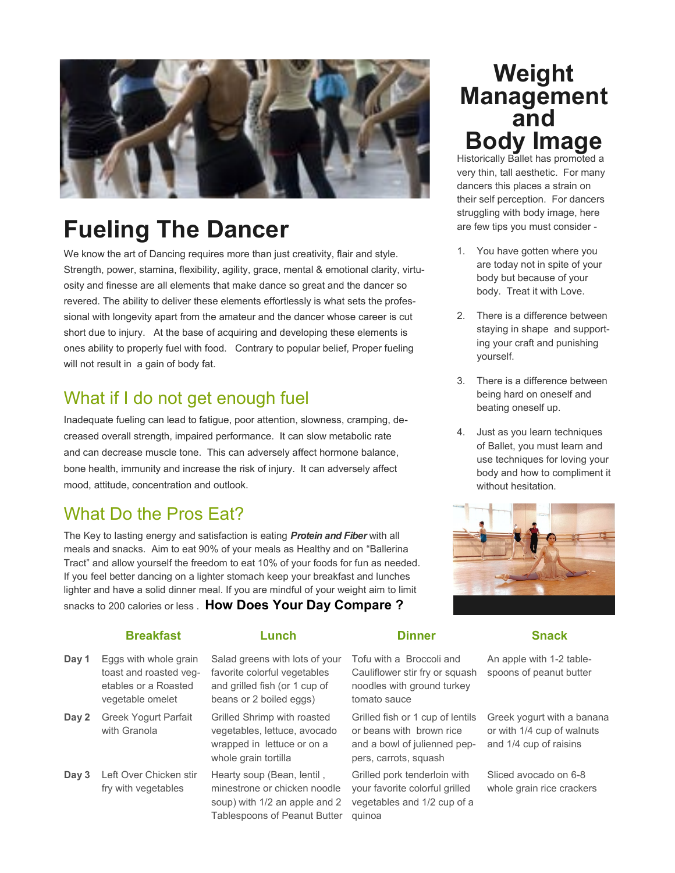

# **Fueling The Dancer**

We know the art of Dancing requires more than just creativity, flair and style. Strength, power, stamina, flexibility, agility, grace, mental & emotional clarity, virtuosity and finesse are all elements that make dance so great and the dancer so revered. The ability to deliver these elements effortlessly is what sets the professional with longevity apart from the amateur and the dancer whose career is cut short due to injury. At the base of acquiring and developing these elements is ones ability to properly fuel with food. Contrary to popular belief, Proper fueling will not result in a gain of body fat.

#### What if I do not get enough fuel

Inadequate fueling can lead to fatigue, poor attention, slowness, cramping, decreased overall strength, impaired performance. It can slow metabolic rate and can decrease muscle tone. This can adversely affect hormone balance, bone health, immunity and increase the risk of injury. It can adversely affect mood, attitude, concentration and outlook.

#### What Do the Pros Eat?

The Key to lasting energy and satisfaction is eating *Protein and Fiber* with all meals and snacks. Aim to eat 90% of your meals as Healthy and on "Ballerina Tract" and allow yourself the freedom to eat 10% of your foods for fun as needed. If you feel better dancing on a lighter stomach keep your breakfast and lunches lighter and have a solid dinner meal. If you are mindful of your weight aim to limit snacks to 200 calories or less . **How Does Your Day Compare ?**

#### **Breakfast Lunch Dinner Snack**

- Eggs with whole grain toast and roasted vegetables or a Roasted vegetable omelet **Day 1**
- Greek Yogurt Parfait with Granola **Day 2**
- **Day 3** Left Over Chicken stir fry with vegetables

Salad greens with lots of your favorite colorful vegetables and grilled fish (or 1 cup of beans or 2 boiled eggs)

Grilled Shrimp with roasted vegetables, lettuce, avocado wrapped in lettuce or on a whole grain tortilla

Hearty soup (Bean, lentil , minestrone or chicken noodle soup) with 1/2 an apple and 2 Tablespoons of Peanut Butter Tofu with a Broccoli and Cauliflower stir fry or squash noodles with ground turkey tomato sauce

Grilled fish or 1 cup of lentils or beans with brown rice and a bowl of julienned peppers, carrots, squash

Grilled pork tenderloin with your favorite colorful grilled vegetables and 1/2 cup of a quinoa

## **Weight Management and Body Image**  Historically Ballet has promoted a

very thin, tall aesthetic. For many dancers this places a strain on their self perception. For dancers struggling with body image, here are few tips you must consider -

- 1. You have gotten where you are today not in spite of your body but because of your body. Treat it with Love.
- 2. There is a difference between staying in shape and supporting your craft and punishing yourself.
- 3. There is a difference between being hard on oneself and beating oneself up.
- 4. Just as you learn techniques of Ballet, you must learn and use techniques for loving your body and how to compliment it without hesitation.



An apple with 1-2 tablespoons of peanut butter

Greek yogurt with a banana or with 1/4 cup of walnuts and 1/4 cup of raisins

Sliced avocado on 6-8 whole grain rice crackers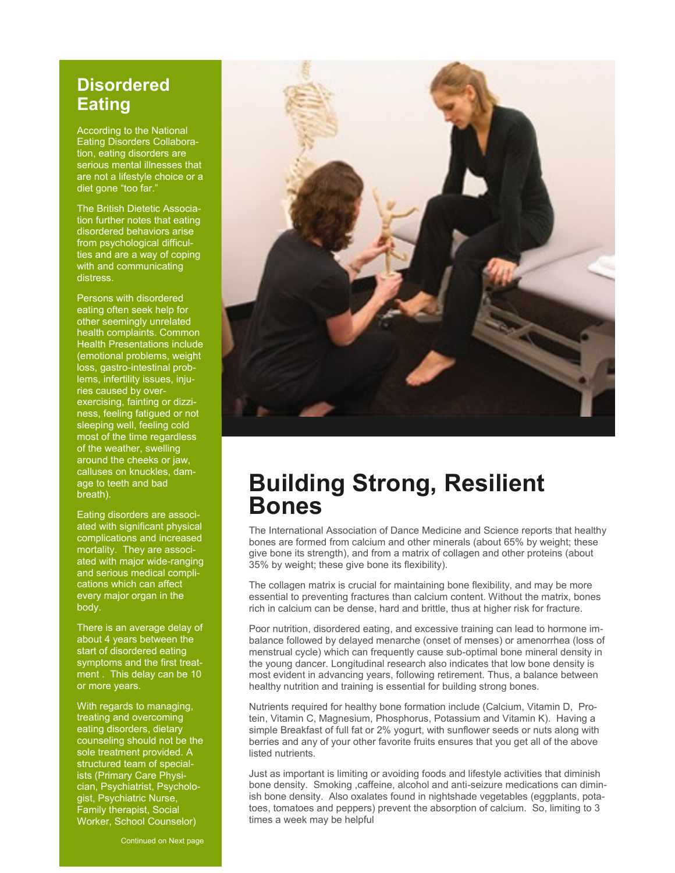#### **Disordered Eating**

According to the National Eating Disorders Collaboration, eating disorders are serious mental illnesses that are not a lifestyle choice or a diet gone "too far."

The British Dietetic Association further notes that eating disordered behaviors arise from psychological difficulties and are a way of coping with and communicating distress.

Persons with disordered eating often seek help for other seemingly unrelated health complaints. Common Health Presentations include (emotional problems, weight loss, gastro-intestinal problems, infertility issues, injuries caused by overexercising, fainting or dizziness, feeling fatigued or not sleeping well, feeling cold most of the time regardless of the weather, swelling around the cheeks or jaw, calluses on knuckles, damage to teeth and bad breath).

Eating disorders are associated with significant physical complications and increased mortality. They are associated with major wide-ranging and serious medical complications which can affect every major organ in the body.

There is an average delay of about 4 years between the start of disordered eating symptoms and the first treatment . This delay can be 10 or more years.

With regards to managing, treating and overcoming eating disorders, dietary counseling should not be the sole treatment provided. A structured team of specialists (Primary Care Physician, Psychiatrist, Psychologist, Psychiatric Nurse, Family therapist, Social Worker, School Counselor)



## **Building Strong, Resilient Bones**

The International Association of Dance Medicine and Science reports that healthy bones are formed from calcium and other minerals (about 65% by weight; these give bone its strength), and from a matrix of collagen and other proteins (about 35% by weight; these give bone its flexibility).

The collagen matrix is crucial for maintaining bone flexibility, and may be more essential to preventing fractures than calcium content. Without the matrix, bones rich in calcium can be dense, hard and brittle, thus at higher risk for fracture.

Poor nutrition, disordered eating, and excessive training can lead to hormone imbalance followed by delayed menarche (onset of menses) or amenorrhea (loss of menstrual cycle) which can frequently cause sub-optimal bone mineral density in the young dancer. Longitudinal research also indicates that low bone density is most evident in advancing years, following retirement. Thus, a balance between healthy nutrition and training is essential for building strong bones.

Nutrients required for healthy bone formation include (Calcium, Vitamin D, Protein, Vitamin C, Magnesium, Phosphorus, Potassium and Vitamin K). Having a simple Breakfast of full fat or 2% yogurt, with sunflower seeds or nuts along with berries and any of your other favorite fruits ensures that you get all of the above listed nutrients.

Just as important is limiting or avoiding foods and lifestyle activities that diminish bone density. Smoking ,caffeine, alcohol and anti-seizure medications can diminish bone density. Also oxalates found in nightshade vegetables (eggplants, potatoes, tomatoes and peppers) prevent the absorption of calcium. So, limiting to 3 times a week may be helpful

Continued on Next page